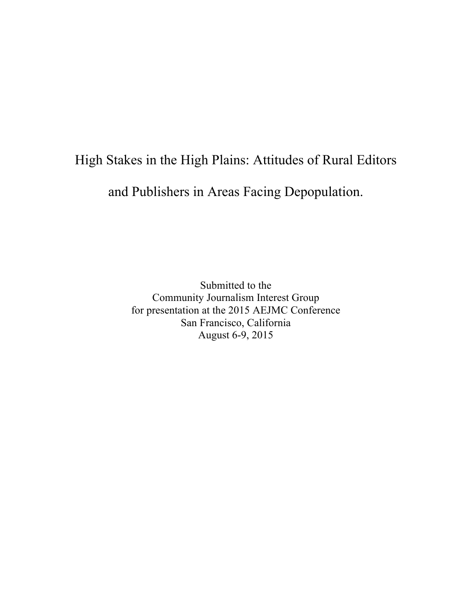# High Stakes in the High Plains: Attitudes of Rural Editors

and Publishers in Areas Facing Depopulation.

Submitted to the Community Journalism Interest Group for presentation at the 2015 AEJMC Conference San Francisco, California August 6-9, 2015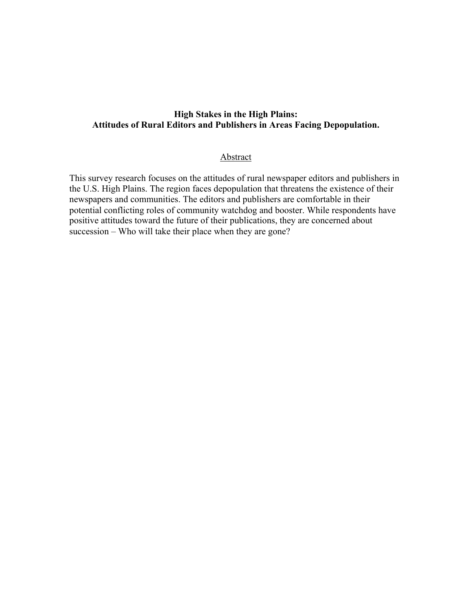# **High Stakes in the High Plains: Attitudes of Rural Editors and Publishers in Areas Facing Depopulation.**

#### Abstract

This survey research focuses on the attitudes of rural newspaper editors and publishers in the U.S. High Plains. The region faces depopulation that threatens the existence of their newspapers and communities. The editors and publishers are comfortable in their potential conflicting roles of community watchdog and booster. While respondents have positive attitudes toward the future of their publications, they are concerned about succession – Who will take their place when they are gone?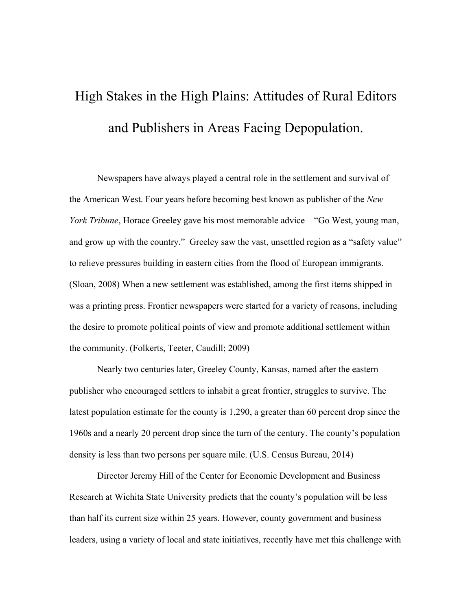# High Stakes in the High Plains: Attitudes of Rural Editors and Publishers in Areas Facing Depopulation.

Newspapers have always played a central role in the settlement and survival of the American West. Four years before becoming best known as publisher of the *New York Tribune*, Horace Greeley gave his most memorable advice – "Go West, young man, and grow up with the country." Greeley saw the vast, unsettled region as a "safety value" to relieve pressures building in eastern cities from the flood of European immigrants. (Sloan, 2008) When a new settlement was established, among the first items shipped in was a printing press. Frontier newspapers were started for a variety of reasons, including the desire to promote political points of view and promote additional settlement within the community. (Folkerts, Teeter, Caudill; 2009)

Nearly two centuries later, Greeley County, Kansas, named after the eastern publisher who encouraged settlers to inhabit a great frontier, struggles to survive. The latest population estimate for the county is 1,290, a greater than 60 percent drop since the 1960s and a nearly 20 percent drop since the turn of the century. The county's population density is less than two persons per square mile. (U.S. Census Bureau, 2014)

Director Jeremy Hill of the Center for Economic Development and Business Research at Wichita State University predicts that the county's population will be less than half its current size within 25 years. However, county government and business leaders, using a variety of local and state initiatives, recently have met this challenge with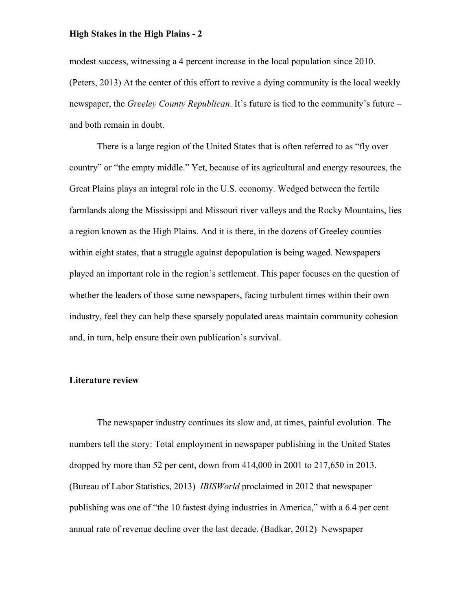modest success, witnessing a 4 percent increase in the local population since 2010. (Peters, 2013) At the center of this effort to revive a dying community is the local weekly newspaper, the *Greeley County Republican*. It's future is tied to the community's future – and both remain in doubt.

There is a large region of the United States that is often referred to as "fly over country" or "the empty middle." Yet, because of its agricultural and energy resources, the Great Plains plays an integral role in the U.S. economy. Wedged between the fertile farmlands along the Mississippi and Missouri river valleys and the Rocky Mountains, lies a region known as the High Plains. And it is there, in the dozens of Greeley counties within eight states, that a struggle against depopulation is being waged. Newspapers played an important role in the region's settlement. This paper focuses on the question of whether the leaders of those same newspapers, facing turbulent times within their own industry, feel they can help these sparsely populated areas maintain community cohesion and, in turn, help ensure their own publication's survival.

#### **Literature review**

The newspaper industry continues its slow and, at times, painful evolution. The numbers tell the story: Total employment in newspaper publishing in the United States dropped by more than 52 per cent, down from 414,000 in 2001 to 217,650 in 2013. (Bureau of Labor Statistics, 2013) *IBISWorld* proclaimed in 2012 that newspaper publishing was one of "the 10 fastest dying industries in America," with a 6.4 per cent annual rate of revenue decline over the last decade. (Badkar, 2012) Newspaper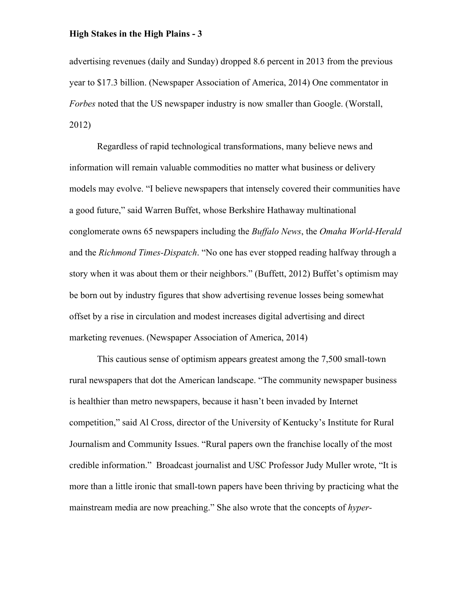advertising revenues (daily and Sunday) dropped 8.6 percent in 2013 from the previous year to \$17.3 billion. (Newspaper Association of America, 2014) One commentator in *Forbes* noted that the US newspaper industry is now smaller than Google. (Worstall, 2012)

Regardless of rapid technological transformations, many believe news and information will remain valuable commodities no matter what business or delivery models may evolve. "I believe newspapers that intensely covered their communities have a good future," said Warren Buffet, whose Berkshire Hathaway multinational conglomerate owns 65 newspapers including the *Buffalo News*, the *Omaha World-Herald* and the *Richmond Times-Dispatch*. "No one has ever stopped reading halfway through a story when it was about them or their neighbors." (Buffett, 2012) Buffet's optimism may be born out by industry figures that show advertising revenue losses being somewhat offset by a rise in circulation and modest increases digital advertising and direct marketing revenues. (Newspaper Association of America, 2014)

This cautious sense of optimism appears greatest among the 7,500 small-town rural newspapers that dot the American landscape. "The community newspaper business is healthier than metro newspapers, because it hasn't been invaded by Internet competition," said Al Cross, director of the University of Kentucky's Institute for Rural Journalism and Community Issues. "Rural papers own the franchise locally of the most credible information." Broadcast journalist and USC Professor Judy Muller wrote, "It is more than a little ironic that small-town papers have been thriving by practicing what the mainstream media are now preaching." She also wrote that the concepts of *hyper-*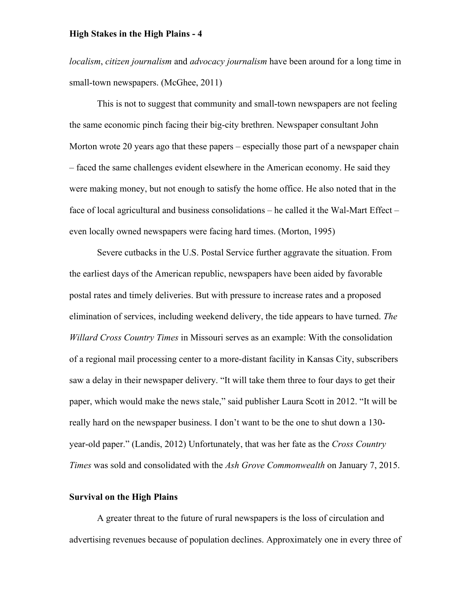*localism*, *citizen journalism* and *advocacy journalism* have been around for a long time in small-town newspapers. (McGhee, 2011)

This is not to suggest that community and small-town newspapers are not feeling the same economic pinch facing their big-city brethren. Newspaper consultant John Morton wrote 20 years ago that these papers – especially those part of a newspaper chain – faced the same challenges evident elsewhere in the American economy. He said they were making money, but not enough to satisfy the home office. He also noted that in the face of local agricultural and business consolidations – he called it the Wal-Mart Effect – even locally owned newspapers were facing hard times. (Morton, 1995)

Severe cutbacks in the U.S. Postal Service further aggravate the situation. From the earliest days of the American republic, newspapers have been aided by favorable postal rates and timely deliveries. But with pressure to increase rates and a proposed elimination of services, including weekend delivery, the tide appears to have turned. *The Willard Cross Country Times* in Missouri serves as an example: With the consolidation of a regional mail processing center to a more-distant facility in Kansas City, subscribers saw a delay in their newspaper delivery. "It will take them three to four days to get their paper, which would make the news stale," said publisher Laura Scott in 2012. "It will be really hard on the newspaper business. I don't want to be the one to shut down a 130 year-old paper." (Landis, 2012) Unfortunately, that was her fate as the *Cross Country Times* was sold and consolidated with the *Ash Grove Commonwealth* on January 7, 2015.

# **Survival on the High Plains**

A greater threat to the future of rural newspapers is the loss of circulation and advertising revenues because of population declines. Approximately one in every three of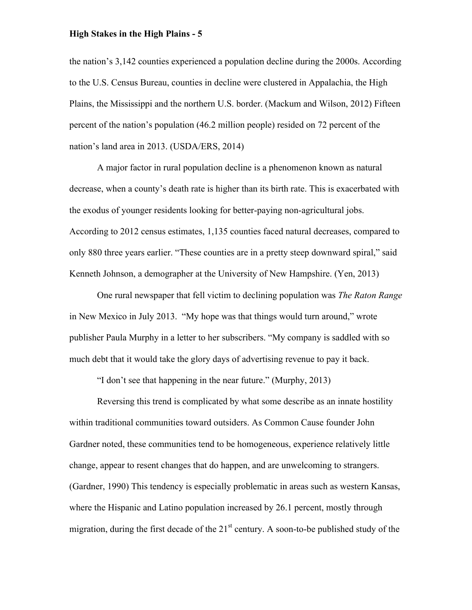the nation's 3,142 counties experienced a population decline during the 2000s. According to the U.S. Census Bureau, counties in decline were clustered in Appalachia, the High Plains, the Mississippi and the northern U.S. border. (Mackum and Wilson, 2012) Fifteen percent of the nation's population (46.2 million people) resided on 72 percent of the nation's land area in 2013. (USDA/ERS, 2014)

A major factor in rural population decline is a phenomenon known as natural decrease, when a county's death rate is higher than its birth rate. This is exacerbated with the exodus of younger residents looking for better-paying non-agricultural jobs. According to 2012 census estimates, 1,135 counties faced natural decreases, compared to only 880 three years earlier. "These counties are in a pretty steep downward spiral," said Kenneth Johnson, a demographer at the University of New Hampshire. (Yen, 2013)

One rural newspaper that fell victim to declining population was *The Raton Range* in New Mexico in July 2013. "My hope was that things would turn around," wrote publisher Paula Murphy in a letter to her subscribers. "My company is saddled with so much debt that it would take the glory days of advertising revenue to pay it back.

"I don't see that happening in the near future." (Murphy, 2013)

Reversing this trend is complicated by what some describe as an innate hostility within traditional communities toward outsiders. As Common Cause founder John Gardner noted, these communities tend to be homogeneous, experience relatively little change, appear to resent changes that do happen, and are unwelcoming to strangers. (Gardner, 1990) This tendency is especially problematic in areas such as western Kansas, where the Hispanic and Latino population increased by 26.1 percent, mostly through migration, during the first decade of the  $21<sup>st</sup>$  century. A soon-to-be published study of the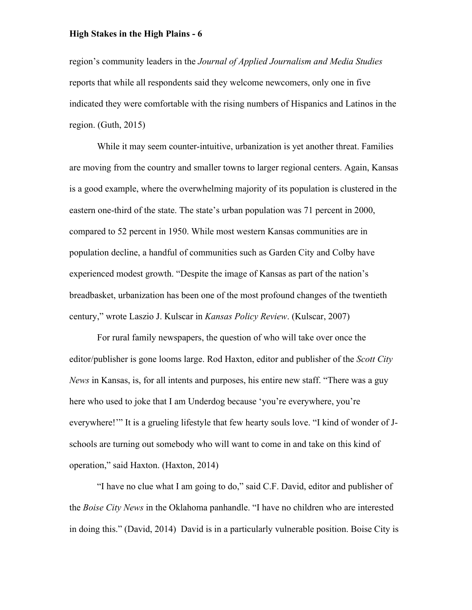region's community leaders in the *Journal of Applied Journalism and Media Studies* reports that while all respondents said they welcome newcomers, only one in five indicated they were comfortable with the rising numbers of Hispanics and Latinos in the region. (Guth, 2015)

While it may seem counter-intuitive, urbanization is yet another threat. Families are moving from the country and smaller towns to larger regional centers. Again, Kansas is a good example, where the overwhelming majority of its population is clustered in the eastern one-third of the state. The state's urban population was 71 percent in 2000, compared to 52 percent in 1950. While most western Kansas communities are in population decline, a handful of communities such as Garden City and Colby have experienced modest growth. "Despite the image of Kansas as part of the nation's breadbasket, urbanization has been one of the most profound changes of the twentieth century," wrote Laszio J. Kulscar in *Kansas Policy Review*. (Kulscar, 2007)

For rural family newspapers, the question of who will take over once the editor/publisher is gone looms large. Rod Haxton, editor and publisher of the *Scott City News* in Kansas, is, for all intents and purposes, his entire new staff. "There was a guy here who used to joke that I am Underdog because 'you're everywhere, you're everywhere!'" It is a grueling lifestyle that few hearty souls love. "I kind of wonder of Jschools are turning out somebody who will want to come in and take on this kind of operation," said Haxton. (Haxton, 2014)

"I have no clue what I am going to do," said C.F. David, editor and publisher of the *Boise City News* in the Oklahoma panhandle. "I have no children who are interested in doing this." (David, 2014) David is in a particularly vulnerable position. Boise City is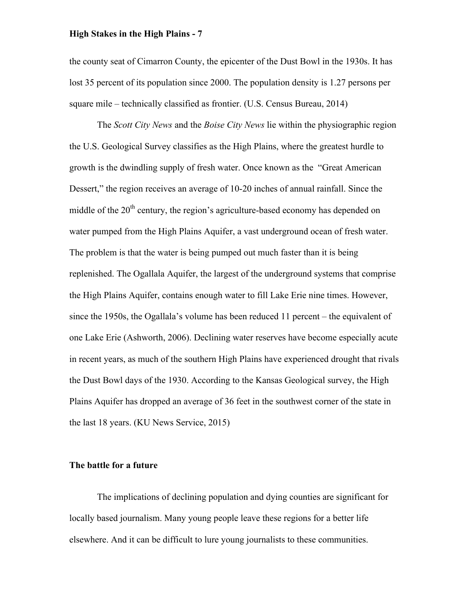the county seat of Cimarron County, the epicenter of the Dust Bowl in the 1930s. It has lost 35 percent of its population since 2000. The population density is 1.27 persons per square mile – technically classified as frontier. (U.S. Census Bureau, 2014)

The *Scott City News* and the *Boise City News* lie within the physiographic region the U.S. Geological Survey classifies as the High Plains, where the greatest hurdle to growth is the dwindling supply of fresh water. Once known as the "Great American Dessert," the region receives an average of 10-20 inches of annual rainfall. Since the middle of the  $20<sup>th</sup>$  century, the region's agriculture-based economy has depended on water pumped from the High Plains Aquifer, a vast underground ocean of fresh water. The problem is that the water is being pumped out much faster than it is being replenished. The Ogallala Aquifer, the largest of the underground systems that comprise the High Plains Aquifer, contains enough water to fill Lake Erie nine times. However, since the 1950s, the Ogallala's volume has been reduced 11 percent – the equivalent of one Lake Erie (Ashworth, 2006). Declining water reserves have become especially acute in recent years, as much of the southern High Plains have experienced drought that rivals the Dust Bowl days of the 1930. According to the Kansas Geological survey, the High Plains Aquifer has dropped an average of 36 feet in the southwest corner of the state in the last 18 years. (KU News Service, 2015)

#### **The battle for a future**

The implications of declining population and dying counties are significant for locally based journalism. Many young people leave these regions for a better life elsewhere. And it can be difficult to lure young journalists to these communities.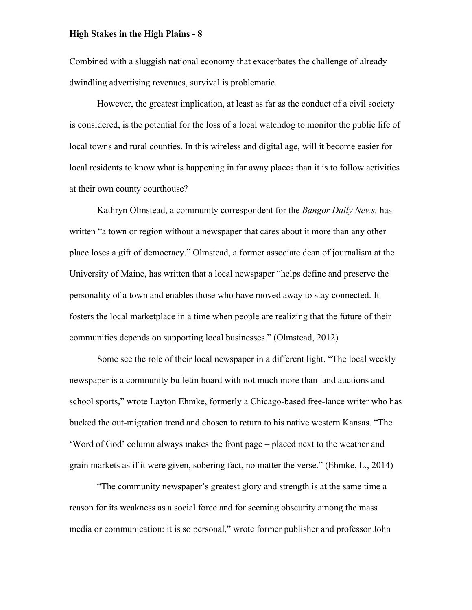Combined with a sluggish national economy that exacerbates the challenge of already dwindling advertising revenues, survival is problematic.

However, the greatest implication, at least as far as the conduct of a civil society is considered, is the potential for the loss of a local watchdog to monitor the public life of local towns and rural counties. In this wireless and digital age, will it become easier for local residents to know what is happening in far away places than it is to follow activities at their own county courthouse?

Kathryn Olmstead, a community correspondent for the *Bangor Daily News,* has written "a town or region without a newspaper that cares about it more than any other place loses a gift of democracy." Olmstead, a former associate dean of journalism at the University of Maine, has written that a local newspaper "helps define and preserve the personality of a town and enables those who have moved away to stay connected. It fosters the local marketplace in a time when people are realizing that the future of their communities depends on supporting local businesses." (Olmstead, 2012)

Some see the role of their local newspaper in a different light. "The local weekly newspaper is a community bulletin board with not much more than land auctions and school sports," wrote Layton Ehmke, formerly a Chicago-based free-lance writer who has bucked the out-migration trend and chosen to return to his native western Kansas. "The 'Word of God' column always makes the front page – placed next to the weather and grain markets as if it were given, sobering fact, no matter the verse." (Ehmke, L., 2014)

"The community newspaper's greatest glory and strength is at the same time a reason for its weakness as a social force and for seeming obscurity among the mass media or communication: it is so personal," wrote former publisher and professor John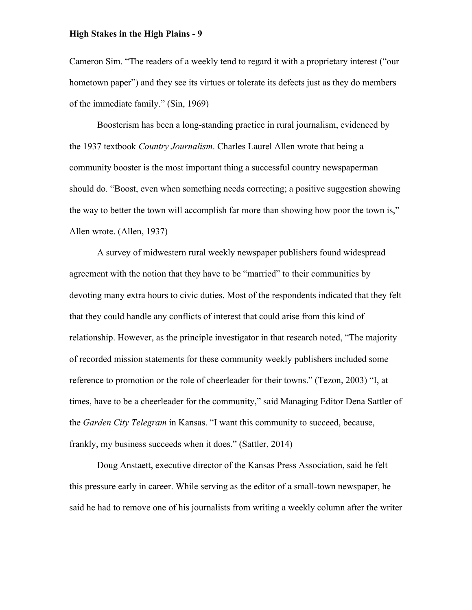Cameron Sim. "The readers of a weekly tend to regard it with a proprietary interest ("our hometown paper") and they see its virtues or tolerate its defects just as they do members of the immediate family." (Sin, 1969)

Boosterism has been a long-standing practice in rural journalism, evidenced by the 1937 textbook *Country Journalism*. Charles Laurel Allen wrote that being a community booster is the most important thing a successful country newspaperman should do. "Boost, even when something needs correcting; a positive suggestion showing the way to better the town will accomplish far more than showing how poor the town is," Allen wrote. (Allen, 1937)

A survey of midwestern rural weekly newspaper publishers found widespread agreement with the notion that they have to be "married" to their communities by devoting many extra hours to civic duties. Most of the respondents indicated that they felt that they could handle any conflicts of interest that could arise from this kind of relationship. However, as the principle investigator in that research noted, "The majority of recorded mission statements for these community weekly publishers included some reference to promotion or the role of cheerleader for their towns." (Tezon, 2003) "I, at times, have to be a cheerleader for the community," said Managing Editor Dena Sattler of the *Garden City Telegram* in Kansas. "I want this community to succeed, because, frankly, my business succeeds when it does." (Sattler, 2014)

Doug Anstaett, executive director of the Kansas Press Association, said he felt this pressure early in career. While serving as the editor of a small-town newspaper, he said he had to remove one of his journalists from writing a weekly column after the writer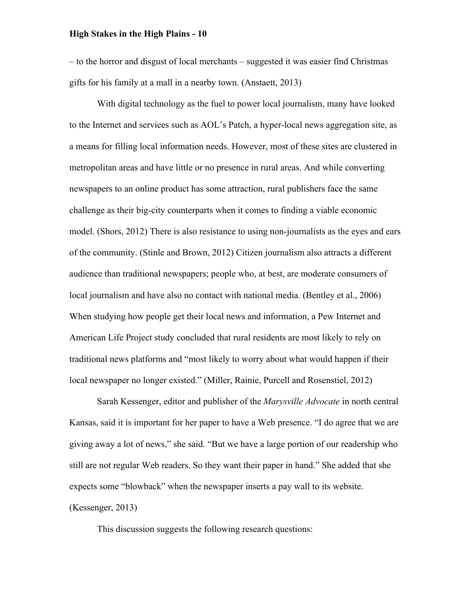– to the horror and disgust of local merchants – suggested it was easier find Christmas gifts for his family at a mall in a nearby town. (Anstaett, 2013)

With digital technology as the fuel to power local journalism, many have looked to the Internet and services such as AOL's Patch, a hyper-local news aggregation site, as a means for filling local information needs. However, most of these sites are clustered in metropolitan areas and have little or no presence in rural areas. And while converting newspapers to an online product has some attraction, rural publishers face the same challenge as their big-city counterparts when it comes to finding a viable economic model. (Shors, 2012) There is also resistance to using non-journalists as the eyes and ears of the community. (Stinle and Brown, 2012) Citizen journalism also attracts a different audience than traditional newspapers; people who, at best, are moderate consumers of local journalism and have also no contact with national media. (Bentley et al., 2006) When studying how people get their local news and information, a Pew Internet and American Life Project study concluded that rural residents are most likely to rely on traditional news platforms and "most likely to worry about what would happen if their local newspaper no longer existed." (Miller, Rainie, Purcell and Rosenstiel, 2012)

Sarah Kessenger, editor and publisher of the *Marysville Advocate* in north central Kansas, said it is important for her paper to have a Web presence. "I do agree that we are giving away a lot of news," she said. "But we have a large portion of our readership who still are not regular Web readers. So they want their paper in hand." She added that she expects some "blowback" when the newspaper inserts a pay wall to its website. (Kessenger, 2013)

This discussion suggests the following research questions: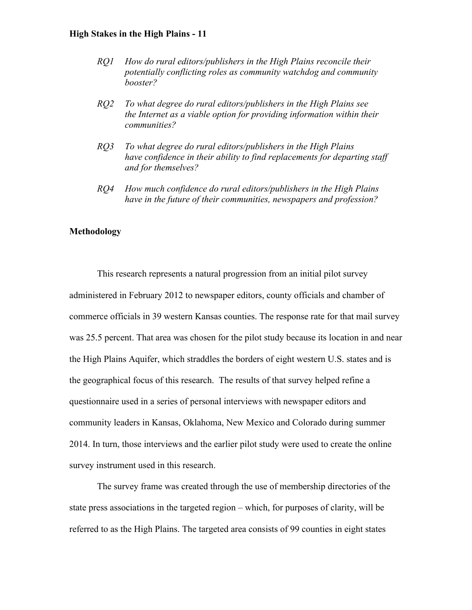- *RQ1 How do rural editors/publishers in the High Plains reconcile their potentially conflicting roles as community watchdog and community booster?*
- *RQ2 To what degree do rural editors/publishers in the High Plains see the Internet as a viable option for providing information within their communities?*
- *RQ3 To what degree do rural editors/publishers in the High Plains have confidence in their ability to find replacements for departing staff and for themselves?*
- *RQ4 How much confidence do rural editors/publishers in the High Plains have in the future of their communities, newspapers and profession?*

#### **Methodology**

This research represents a natural progression from an initial pilot survey administered in February 2012 to newspaper editors, county officials and chamber of commerce officials in 39 western Kansas counties. The response rate for that mail survey was 25.5 percent. That area was chosen for the pilot study because its location in and near the High Plains Aquifer, which straddles the borders of eight western U.S. states and is the geographical focus of this research. The results of that survey helped refine a questionnaire used in a series of personal interviews with newspaper editors and community leaders in Kansas, Oklahoma, New Mexico and Colorado during summer 2014. In turn, those interviews and the earlier pilot study were used to create the online survey instrument used in this research.

The survey frame was created through the use of membership directories of the state press associations in the targeted region – which, for purposes of clarity, will be referred to as the High Plains. The targeted area consists of 99 counties in eight states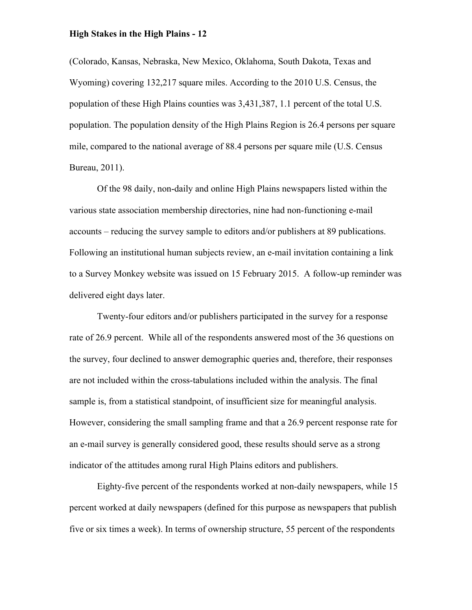(Colorado, Kansas, Nebraska, New Mexico, Oklahoma, South Dakota, Texas and Wyoming) covering 132,217 square miles. According to the 2010 U.S. Census, the population of these High Plains counties was 3,431,387, 1.1 percent of the total U.S. population. The population density of the High Plains Region is 26.4 persons per square mile, compared to the national average of 88.4 persons per square mile (U.S. Census Bureau, 2011).

Of the 98 daily, non-daily and online High Plains newspapers listed within the various state association membership directories, nine had non-functioning e-mail accounts – reducing the survey sample to editors and/or publishers at 89 publications. Following an institutional human subjects review, an e-mail invitation containing a link to a Survey Monkey website was issued on 15 February 2015. A follow-up reminder was delivered eight days later.

Twenty-four editors and/or publishers participated in the survey for a response rate of 26.9 percent. While all of the respondents answered most of the 36 questions on the survey, four declined to answer demographic queries and, therefore, their responses are not included within the cross-tabulations included within the analysis. The final sample is, from a statistical standpoint, of insufficient size for meaningful analysis. However, considering the small sampling frame and that a 26.9 percent response rate for an e-mail survey is generally considered good, these results should serve as a strong indicator of the attitudes among rural High Plains editors and publishers.

Eighty-five percent of the respondents worked at non-daily newspapers, while 15 percent worked at daily newspapers (defined for this purpose as newspapers that publish five or six times a week). In terms of ownership structure, 55 percent of the respondents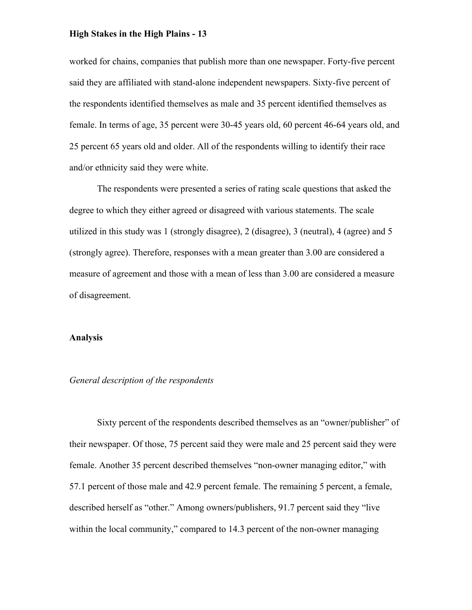worked for chains, companies that publish more than one newspaper. Forty-five percent said they are affiliated with stand-alone independent newspapers. Sixty-five percent of the respondents identified themselves as male and 35 percent identified themselves as female. In terms of age, 35 percent were 30-45 years old, 60 percent 46-64 years old, and 25 percent 65 years old and older. All of the respondents willing to identify their race and/or ethnicity said they were white.

The respondents were presented a series of rating scale questions that asked the degree to which they either agreed or disagreed with various statements. The scale utilized in this study was 1 (strongly disagree), 2 (disagree), 3 (neutral), 4 (agree) and 5 (strongly agree). Therefore, responses with a mean greater than 3.00 are considered a measure of agreement and those with a mean of less than 3.00 are considered a measure of disagreement.

#### **Analysis**

#### *General description of the respondents*

Sixty percent of the respondents described themselves as an "owner/publisher" of their newspaper. Of those, 75 percent said they were male and 25 percent said they were female. Another 35 percent described themselves "non-owner managing editor," with 57.1 percent of those male and 42.9 percent female. The remaining 5 percent, a female, described herself as "other." Among owners/publishers, 91.7 percent said they "live within the local community," compared to 14.3 percent of the non-owner managing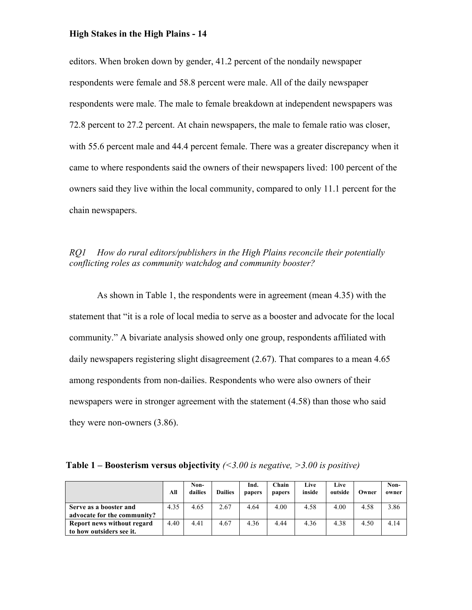editors. When broken down by gender, 41.2 percent of the nondaily newspaper respondents were female and 58.8 percent were male. All of the daily newspaper respondents were male. The male to female breakdown at independent newspapers was 72.8 percent to 27.2 percent. At chain newspapers, the male to female ratio was closer, with 55.6 percent male and 44.4 percent female. There was a greater discrepancy when it came to where respondents said the owners of their newspapers lived: 100 percent of the owners said they live within the local community, compared to only 11.1 percent for the chain newspapers.

# *RQ1 How do rural editors/publishers in the High Plains reconcile their potentially conflicting roles as community watchdog and community booster?*

As shown in Table 1, the respondents were in agreement (mean 4.35) with the statement that "it is a role of local media to serve as a booster and advocate for the local community." A bivariate analysis showed only one group, respondents affiliated with daily newspapers registering slight disagreement (2.67). That compares to a mean 4.65 among respondents from non-dailies. Respondents who were also owners of their newspapers were in stronger agreement with the statement (4.58) than those who said they were non-owners (3.86).

| <b>Table 1 – Boosterism versus objectivity</b> (<3.00 is negative, >3.00 is positive) |  |  |
|---------------------------------------------------------------------------------------|--|--|
|---------------------------------------------------------------------------------------|--|--|

|                             | All  | Non-<br>dailies | <b>Dailies</b> | Ind.<br>papers | Chain<br>papers | Live<br>inside | Live<br>outside | Owner | Non-<br>owner |
|-----------------------------|------|-----------------|----------------|----------------|-----------------|----------------|-----------------|-------|---------------|
| Serve as a booster and      | 4.35 | 4.65            | 2.67           | 4.64           | 4.00            | 4.58           | 4.00            | 4.58  | 3.86          |
| advocate for the community? |      |                 |                |                |                 |                |                 |       |               |
| Report news without regard  | 4.40 | 4.41            | 4.67           | 4.36           | 4.44            | 4.36           | 4.38            | 4.50  | 4.14          |
| to how outsiders see it.    |      |                 |                |                |                 |                |                 |       |               |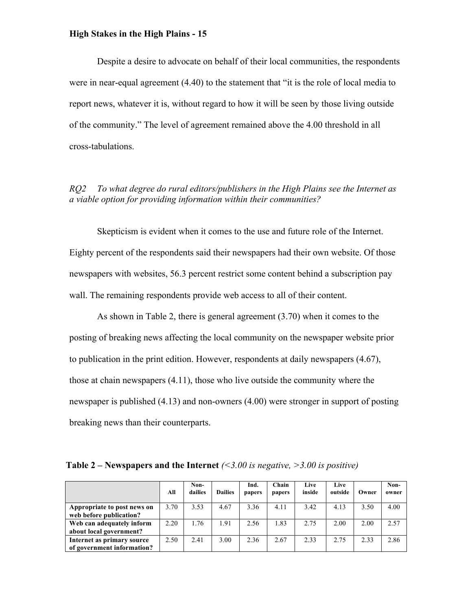Despite a desire to advocate on behalf of their local communities, the respondents were in near-equal agreement (4.40) to the statement that "it is the role of local media to report news, whatever it is, without regard to how it will be seen by those living outside of the community." The level of agreement remained above the 4.00 threshold in all cross-tabulations.

*RQ2 To what degree do rural editors/publishers in the High Plains see the Internet as a viable option for providing information within their communities?*

Skepticism is evident when it comes to the use and future role of the Internet. Eighty percent of the respondents said their newspapers had their own website. Of those newspapers with websites, 56.3 percent restrict some content behind a subscription pay wall. The remaining respondents provide web access to all of their content.

As shown in Table 2, there is general agreement (3.70) when it comes to the posting of breaking news affecting the local community on the newspaper website prior to publication in the print edition. However, respondents at daily newspapers (4.67), those at chain newspapers (4.11), those who live outside the community where the newspaper is published (4.13) and non-owners (4.00) were stronger in support of posting breaking news than their counterparts.

| <b>Table 2 – Newspapers and the Internet</b> (<3.00 is negative, >3.00 is positive) |
|-------------------------------------------------------------------------------------|
|-------------------------------------------------------------------------------------|

|                                                          | All  | Non-<br>dailies | <b>Dailies</b> | Ind.<br>papers | Chain<br>papers | Live<br>inside | Live<br>outside | Owner | Non-<br>owner |
|----------------------------------------------------------|------|-----------------|----------------|----------------|-----------------|----------------|-----------------|-------|---------------|
| Appropriate to post news on<br>web before publication?   | 3.70 | 3.53            | 4.67           | 3.36           | 4.11            | 3.42           | 4.13            | 3.50  | 4.00          |
| Web can adequately inform<br>about local government?     | 2.20 | 1.76            | 1.91           | 2.56           | 1.83            | 2.75           | 2.00            | 2.00  | 2.57          |
| Internet as primary source<br>of government information? | 2.50 | 2.41            | 3.00           | 2.36           | 2.67            | 2.33           | 2.75            | 2.33  | 2.86          |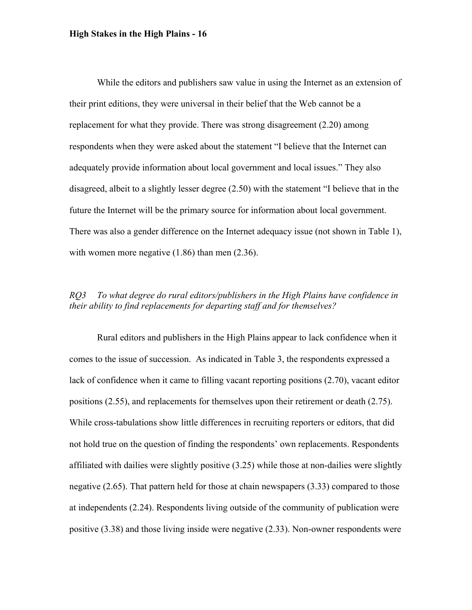While the editors and publishers saw value in using the Internet as an extension of their print editions, they were universal in their belief that the Web cannot be a replacement for what they provide. There was strong disagreement (2.20) among respondents when they were asked about the statement "I believe that the Internet can adequately provide information about local government and local issues." They also disagreed, albeit to a slightly lesser degree (2.50) with the statement "I believe that in the future the Internet will be the primary source for information about local government. There was also a gender difference on the Internet adequacy issue (not shown in Table 1), with women more negative (1.86) than men (2.36).

# *RQ3 To what degree do rural editors/publishers in the High Plains have confidence in their ability to find replacements for departing staff and for themselves?*

Rural editors and publishers in the High Plains appear to lack confidence when it comes to the issue of succession. As indicated in Table 3, the respondents expressed a lack of confidence when it came to filling vacant reporting positions (2.70), vacant editor positions (2.55), and replacements for themselves upon their retirement or death (2.75). While cross-tabulations show little differences in recruiting reporters or editors, that did not hold true on the question of finding the respondents' own replacements. Respondents affiliated with dailies were slightly positive (3.25) while those at non-dailies were slightly negative (2.65). That pattern held for those at chain newspapers (3.33) compared to those at independents (2.24). Respondents living outside of the community of publication were positive (3.38) and those living inside were negative (2.33). Non-owner respondents were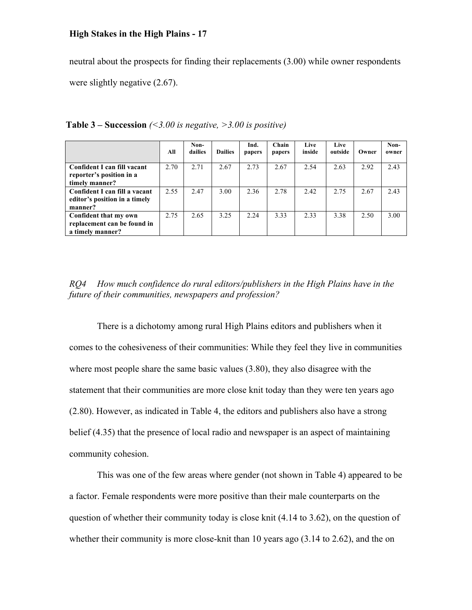neutral about the prospects for finding their replacements (3.00) while owner respondents were slightly negative  $(2.67)$ .

|                               | All  | Non-<br>dailies | <b>Dailies</b> | Ind.<br>papers | Chain<br>papers | Live<br>inside | Live<br>outside | Owner | Non-<br>owner |
|-------------------------------|------|-----------------|----------------|----------------|-----------------|----------------|-----------------|-------|---------------|
| Confident I can fill vacant   | 2.70 | 2.71            | 2.67           | 2.73           | 2.67            | 2.54           | 2.63            | 2.92  | 2.43          |
| reporter's position in a      |      |                 |                |                |                 |                |                 |       |               |
| timely manner?                |      |                 |                |                |                 |                |                 |       |               |
| Confident I can fill a vacant | 2.55 | 2.47            | 3.00           | 2.36           | 2.78            | 2.42           | 2.75            | 2.67  | 2.43          |
| editor's position in a timely |      |                 |                |                |                 |                |                 |       |               |
| manner?                       |      |                 |                |                |                 |                |                 |       |               |
| Confident that my own         | 2.75 | 2.65            | 3.25           | 2.24           | 3.33            | 2.33           | 3.38            | 2.50  | 3.00          |
| replacement can be found in   |      |                 |                |                |                 |                |                 |       |               |
| a timely manner?              |      |                 |                |                |                 |                |                 |       |               |

**Table 3 – Succession** *(<3.00 is negative, >3.00 is positive)*

# *RQ4 How much confidence do rural editors/publishers in the High Plains have in the future of their communities, newspapers and profession?*

There is a dichotomy among rural High Plains editors and publishers when it comes to the cohesiveness of their communities: While they feel they live in communities where most people share the same basic values (3.80), they also disagree with the statement that their communities are more close knit today than they were ten years ago (2.80). However, as indicated in Table 4, the editors and publishers also have a strong belief (4.35) that the presence of local radio and newspaper is an aspect of maintaining community cohesion.

This was one of the few areas where gender (not shown in Table 4) appeared to be a factor. Female respondents were more positive than their male counterparts on the question of whether their community today is close knit (4.14 to 3.62), on the question of whether their community is more close-knit than 10 years ago  $(3.14 \text{ to } 2.62)$ , and the on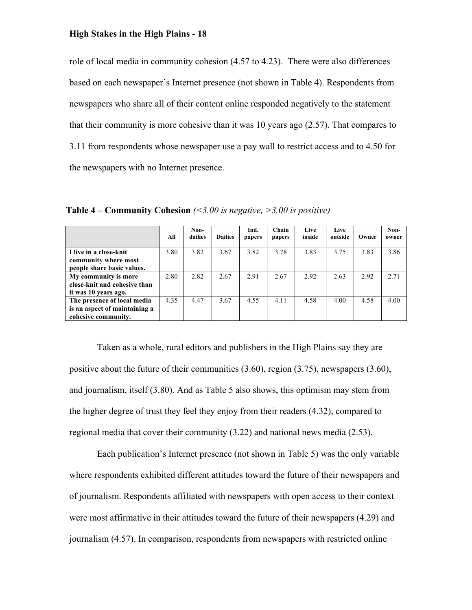role of local media in community cohesion (4.57 to 4.23). There were also differences based on each newspaper's Internet presence (not shown in Table 4). Respondents from newspapers who share all of their content online responded negatively to the statement that their community is more cohesive than it was 10 years ago (2.57). That compares to 3.11 from respondents whose newspaper use a pay wall to restrict access and to 4.50 for the newspapers with no Internet presence.

|                                                                                     | All  | Non-<br>dailies | <b>Dailies</b> | Ind.<br>papers | Chain<br>papers | Live<br>inside | Live<br>outside | Owner | Non-<br>owner |
|-------------------------------------------------------------------------------------|------|-----------------|----------------|----------------|-----------------|----------------|-----------------|-------|---------------|
| I live in a close-knit<br>community where most<br>people share basic values.        | 3.80 | 3.82            | 3.67           | 3.82           | 3.78            | 3.83           | 3.75            | 3.83  | 3.86          |
| My community is more<br>close-knit and cohesive than<br>it was 10 years ago.        | 2.80 | 2.82            | 2.67           | 2.91           | 2.67            | 2.92           | 2.63            | 2.92  | 2.71          |
| The presence of local media<br>is an aspect of maintaining a<br>cohesive community. | 4.35 | 4.47            | 3.67           | 4.55           | 4.11            | 4.58           | 4.00            | 4.58  | 4.00          |

**Table 4 – Community Cohesion** *(<3.00 is negative, >3.00 is positive)*

Taken as a whole, rural editors and publishers in the High Plains say they are positive about the future of their communities (3.60), region (3.75), newspapers (3.60), and journalism, itself (3.80). And as Table 5 also shows, this optimism may stem from the higher degree of trust they feel they enjoy from their readers (4.32), compared to regional media that cover their community (3.22) and national news media (2.53).

Each publication's Internet presence (not shown in Table 5) was the only variable where respondents exhibited different attitudes toward the future of their newspapers and of journalism. Respondents affiliated with newspapers with open access to their context were most affirmative in their attitudes toward the future of their newspapers (4.29) and journalism (4.57). In comparison, respondents from newspapers with restricted online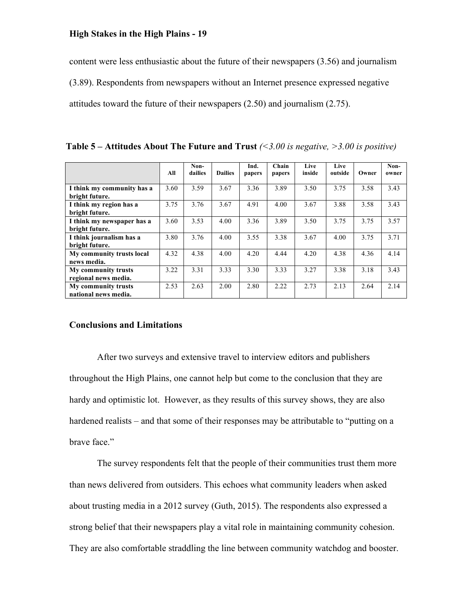content were less enthusiastic about the future of their newspapers (3.56) and journalism (3.89). Respondents from newspapers without an Internet presence expressed negative attitudes toward the future of their newspapers (2.50) and journalism (2.75).

|                            |      | Non-    |                | Ind.   | Chain  | Live   | Live    |       | Non-  |
|----------------------------|------|---------|----------------|--------|--------|--------|---------|-------|-------|
|                            | All  | dailies | <b>Dailies</b> | papers | papers | inside | outside | Owner | owner |
|                            |      |         |                |        |        |        |         |       |       |
| I think my community has a | 3.60 | 3.59    | 3.67           | 3.36   | 3.89   | 3.50   | 3.75    | 3.58  | 3.43  |
| bright future.             |      |         |                |        |        |        |         |       |       |
| I think my region has a    | 3.75 | 3.76    | 3.67           | 4.91   | 4.00   | 3.67   | 3.88    | 3.58  | 3.43  |
| bright future.             |      |         |                |        |        |        |         |       |       |
| I think my newspaper has a | 3.60 | 3.53    | 4.00           | 3.36   | 3.89   | 3.50   | 3.75    | 3.75  | 3.57  |
| bright future.             |      |         |                |        |        |        |         |       |       |
| I think journalism has a   | 3.80 | 3.76    | 4.00           | 3.55   | 3.38   | 3.67   | 4.00    | 3.75  | 3.71  |
| bright future.             |      |         |                |        |        |        |         |       |       |
| My community trusts local  | 4.32 | 4.38    | 4.00           | 4.20   | 4.44   | 4.20   | 4.38    | 4.36  | 4.14  |
| news media.                |      |         |                |        |        |        |         |       |       |
| My community trusts        | 3.22 | 3.31    | 3.33           | 3.30   | 3.33   | 3.27   | 3.38    | 3.18  | 3.43  |
| regional news media.       |      |         |                |        |        |        |         |       |       |
| My community trusts        | 2.53 | 2.63    | 2.00           | 2.80   | 2.22   | 2.73   | 2.13    | 2.64  | 2.14  |
| national news media.       |      |         |                |        |        |        |         |       |       |

**Table 5 – Attitudes About The Future and Trust** *(<3.00 is negative, >3.00 is positive)*

### **Conclusions and Limitations**

After two surveys and extensive travel to interview editors and publishers throughout the High Plains, one cannot help but come to the conclusion that they are hardy and optimistic lot. However, as they results of this survey shows, they are also hardened realists – and that some of their responses may be attributable to "putting on a brave face."

The survey respondents felt that the people of their communities trust them more than news delivered from outsiders. This echoes what community leaders when asked about trusting media in a 2012 survey (Guth, 2015). The respondents also expressed a strong belief that their newspapers play a vital role in maintaining community cohesion. They are also comfortable straddling the line between community watchdog and booster.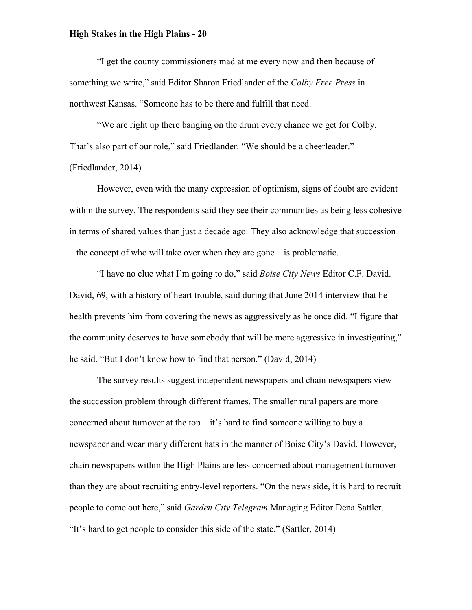"I get the county commissioners mad at me every now and then because of something we write," said Editor Sharon Friedlander of the *Colby Free Press* in northwest Kansas. "Someone has to be there and fulfill that need.

"We are right up there banging on the drum every chance we get for Colby. That's also part of our role," said Friedlander. "We should be a cheerleader." (Friedlander, 2014)

However, even with the many expression of optimism, signs of doubt are evident within the survey. The respondents said they see their communities as being less cohesive in terms of shared values than just a decade ago. They also acknowledge that succession – the concept of who will take over when they are gone – is problematic.

"I have no clue what I'm going to do," said *Boise City News* Editor C.F. David. David, 69, with a history of heart trouble, said during that June 2014 interview that he health prevents him from covering the news as aggressively as he once did. "I figure that the community deserves to have somebody that will be more aggressive in investigating," he said. "But I don't know how to find that person." (David, 2014)

The survey results suggest independent newspapers and chain newspapers view the succession problem through different frames. The smaller rural papers are more concerned about turnover at the top  $-i$  t's hard to find someone willing to buy a newspaper and wear many different hats in the manner of Boise City's David. However, chain newspapers within the High Plains are less concerned about management turnover than they are about recruiting entry-level reporters. "On the news side, it is hard to recruit people to come out here," said *Garden City Telegram* Managing Editor Dena Sattler. "It's hard to get people to consider this side of the state." (Sattler, 2014)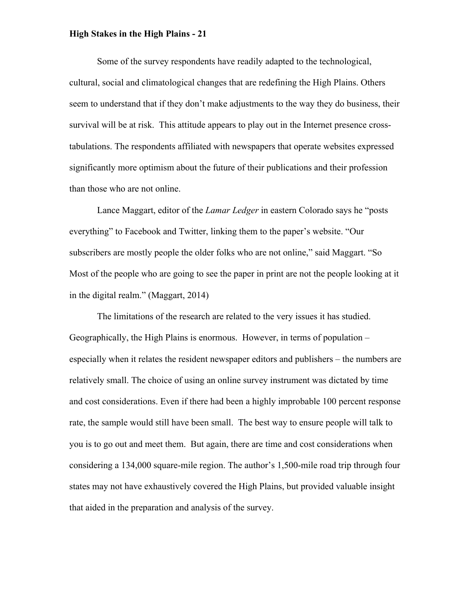Some of the survey respondents have readily adapted to the technological, cultural, social and climatological changes that are redefining the High Plains. Others seem to understand that if they don't make adjustments to the way they do business, their survival will be at risk. This attitude appears to play out in the Internet presence crosstabulations. The respondents affiliated with newspapers that operate websites expressed significantly more optimism about the future of their publications and their profession than those who are not online.

Lance Maggart, editor of the *Lamar Ledger* in eastern Colorado says he "posts everything" to Facebook and Twitter, linking them to the paper's website. "Our subscribers are mostly people the older folks who are not online," said Maggart. "So Most of the people who are going to see the paper in print are not the people looking at it in the digital realm." (Maggart, 2014)

The limitations of the research are related to the very issues it has studied. Geographically, the High Plains is enormous. However, in terms of population – especially when it relates the resident newspaper editors and publishers – the numbers are relatively small. The choice of using an online survey instrument was dictated by time and cost considerations. Even if there had been a highly improbable 100 percent response rate, the sample would still have been small. The best way to ensure people will talk to you is to go out and meet them. But again, there are time and cost considerations when considering a 134,000 square-mile region. The author's 1,500-mile road trip through four states may not have exhaustively covered the High Plains, but provided valuable insight that aided in the preparation and analysis of the survey.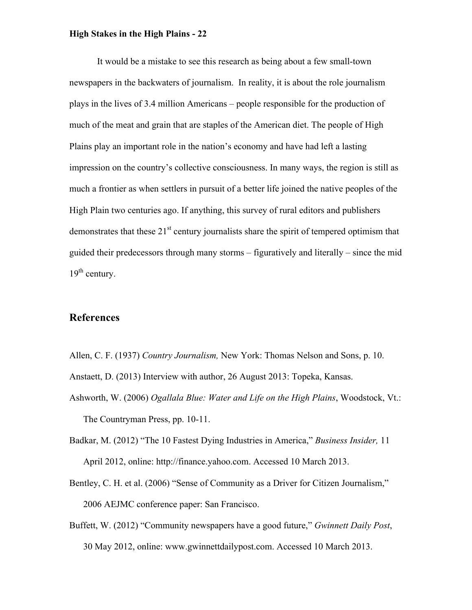It would be a mistake to see this research as being about a few small-town newspapers in the backwaters of journalism. In reality, it is about the role journalism plays in the lives of 3.4 million Americans – people responsible for the production of much of the meat and grain that are staples of the American diet. The people of High Plains play an important role in the nation's economy and have had left a lasting impression on the country's collective consciousness. In many ways, the region is still as much a frontier as when settlers in pursuit of a better life joined the native peoples of the High Plain two centuries ago. If anything, this survey of rural editors and publishers demonstrates that these  $21<sup>st</sup>$  century journalists share the spirit of tempered optimism that guided their predecessors through many storms – figuratively and literally – since the mid  $19<sup>th</sup>$  century.

# **References**

- Allen, C. F. (1937) *Country Journalism,* New York: Thomas Nelson and Sons, p. 10.
- Anstaett, D. (2013) Interview with author, 26 August 2013: Topeka, Kansas.
- Ashworth, W. (2006) *Ogallala Blue: Water and Life on the High Plains*, Woodstock, Vt.: The Countryman Press, pp. 10-11.
- Badkar, M. (2012) "The 10 Fastest Dying Industries in America," *Business Insider,* 11 April 2012, online: http://finance.yahoo.com. Accessed 10 March 2013.
- Bentley, C. H. et al. (2006) "Sense of Community as a Driver for Citizen Journalism," 2006 AEJMC conference paper: San Francisco.
- Buffett, W. (2012) "Community newspapers have a good future," *Gwinnett Daily Post*, 30 May 2012, online: www.gwinnettdailypost.com. Accessed 10 March 2013.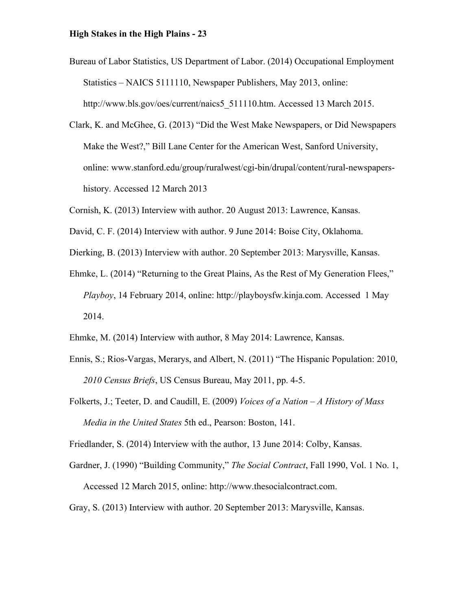- Bureau of Labor Statistics, US Department of Labor. (2014) Occupational Employment Statistics – NAICS 5111110, Newspaper Publishers, May 2013, online: http://www.bls.gov/oes/current/naics5\_511110.htm. Accessed 13 March 2015.
- Clark, K. and McGhee, G. (2013) "Did the West Make Newspapers, or Did Newspapers Make the West?," Bill Lane Center for the American West, Sanford University, online: www.stanford.edu/group/ruralwest/cgi-bin/drupal/content/rural-newspapershistory. Accessed 12 March 2013
- Cornish, K. (2013) Interview with author. 20 August 2013: Lawrence, Kansas.
- David, C. F. (2014) Interview with author. 9 June 2014: Boise City, Oklahoma.
- Dierking, B. (2013) Interview with author. 20 September 2013: Marysville, Kansas.
- Ehmke, L. (2014) "Returning to the Great Plains, As the Rest of My Generation Flees," *Playboy*, 14 February 2014, online: http://playboysfw.kinja.com. Accessed 1 May 2014.
- Ehmke, M. (2014) Interview with author, 8 May 2014: Lawrence, Kansas.
- Ennis, S.; Rios-Vargas, Merarys, and Albert, N. (2011) "The Hispanic Population: 2010, *2010 Census Briefs*, US Census Bureau, May 2011, pp. 4-5.
- Folkerts, J.; Teeter, D. and Caudill, E. (2009) *Voices of a Nation – A History of Mass Media in the United States* 5th ed., Pearson: Boston, 141.

Friedlander, S. (2014) Interview with the author, 13 June 2014: Colby, Kansas.

- Gardner, J. (1990) "Building Community," *The Social Contract*, Fall 1990, Vol. 1 No. 1, Accessed 12 March 2015, online: http://www.thesocialcontract.com.
- Gray, S. (2013) Interview with author. 20 September 2013: Marysville, Kansas.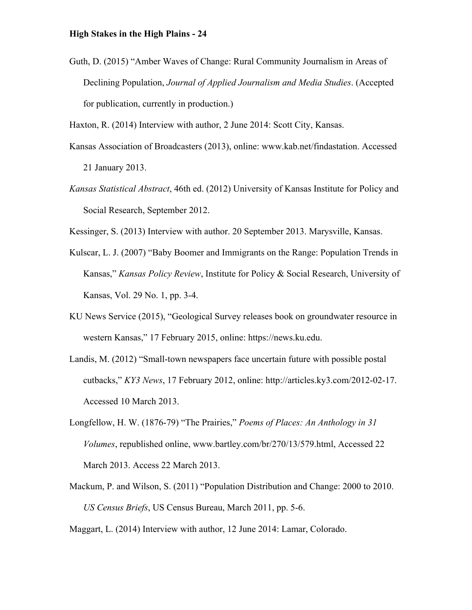Guth, D. (2015) "Amber Waves of Change: Rural Community Journalism in Areas of Declining Population, *Journal of Applied Journalism and Media Studies*. (Accepted for publication, currently in production.)

Haxton, R. (2014) Interview with author, 2 June 2014: Scott City, Kansas.

- Kansas Association of Broadcasters (2013), online: www.kab.net/findastation. Accessed 21 January 2013.
- *Kansas Statistical Abstract*, 46th ed. (2012) University of Kansas Institute for Policy and Social Research, September 2012.
- Kessinger, S. (2013) Interview with author. 20 September 2013. Marysville, Kansas.
- Kulscar, L. J. (2007) "Baby Boomer and Immigrants on the Range: Population Trends in Kansas," *Kansas Policy Review*, Institute for Policy & Social Research, University of Kansas, Vol. 29 No. 1, pp. 3-4.
- KU News Service (2015), "Geological Survey releases book on groundwater resource in western Kansas," 17 February 2015, online: https://news.ku.edu.
- Landis, M. (2012) "Small-town newspapers face uncertain future with possible postal cutbacks," *KY3 News*, 17 February 2012, online: http://articles.ky3.com/2012-02-17. Accessed 10 March 2013.
- Longfellow, H. W. (1876-79) "The Prairies," *Poems of Places: An Anthology in 31 Volumes*, republished online, www.bartley.com/br/270/13/579.html, Accessed 22 March 2013. Access 22 March 2013.
- Mackum, P. and Wilson, S. (2011) "Population Distribution and Change: 2000 to 2010. *US Census Briefs*, US Census Bureau, March 2011, pp. 5-6.

Maggart, L. (2014) Interview with author, 12 June 2014: Lamar, Colorado.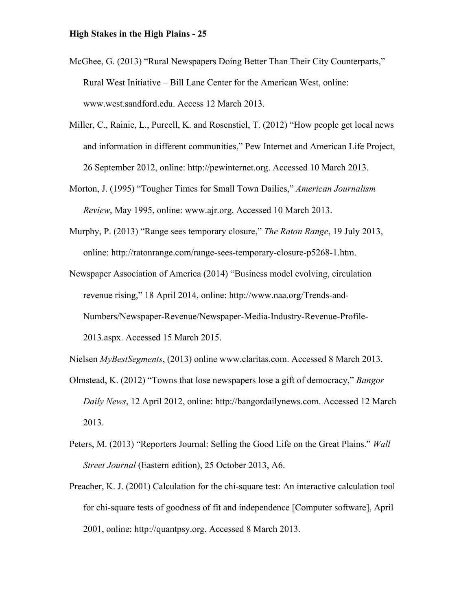- McGhee, G. (2013) "Rural Newspapers Doing Better Than Their City Counterparts," Rural West Initiative – Bill Lane Center for the American West, online: www.west.sandford.edu. Access 12 March 2013.
- Miller, C., Rainie, L., Purcell, K. and Rosenstiel, T. (2012) "How people get local news and information in different communities," Pew Internet and American Life Project, 26 September 2012, online: http://pewinternet.org. Accessed 10 March 2013.
- Morton, J. (1995) "Tougher Times for Small Town Dailies," *American Journalism Review*, May 1995, online: www.ajr.org. Accessed 10 March 2013.
- Murphy, P. (2013) "Range sees temporary closure," *The Raton Range*, 19 July 2013, online: http://ratonrange.com/range-sees-temporary-closure-p5268-1.htm.
- Newspaper Association of America (2014) "Business model evolving, circulation revenue rising," 18 April 2014, online: http://www.naa.org/Trends-and-Numbers/Newspaper-Revenue/Newspaper-Media-Industry-Revenue-Profile-2013.aspx. Accessed 15 March 2015.

Nielsen *MyBestSegments*, (2013) online www.claritas.com. Accessed 8 March 2013.

- Olmstead, K. (2012) "Towns that lose newspapers lose a gift of democracy," *Bangor Daily News*, 12 April 2012, online: http://bangordailynews.com. Accessed 12 March 2013.
- Peters, M. (2013) "Reporters Journal: Selling the Good Life on the Great Plains." *Wall Street Journal* (Eastern edition), 25 October 2013, A6.
- Preacher, K. J. (2001) Calculation for the chi-square test: An interactive calculation tool for chi-square tests of goodness of fit and independence [Computer software], April 2001, online: http://quantpsy.org. Accessed 8 March 2013.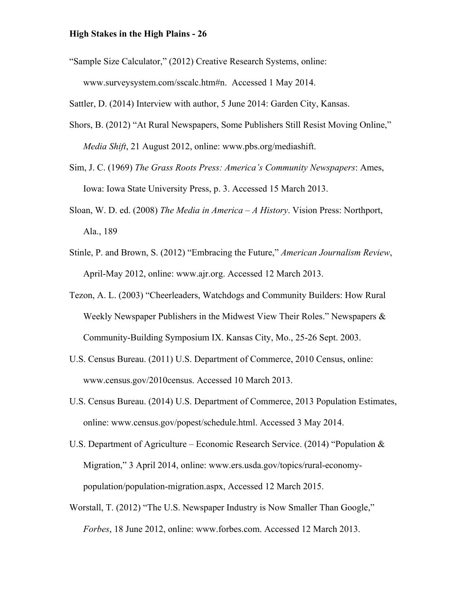"Sample Size Calculator," (2012) Creative Research Systems, online: www.surveysystem.com/sscalc.htm#n. Accessed 1 May 2014.

Sattler, D. (2014) Interview with author, 5 June 2014: Garden City, Kansas.

- Shors, B. (2012) "At Rural Newspapers, Some Publishers Still Resist Moving Online," *Media Shift*, 21 August 2012, online: www.pbs.org/mediashift.
- Sim, J. C. (1969) *The Grass Roots Press: America's Community Newspapers*: Ames, Iowa: Iowa State University Press, p. 3. Accessed 15 March 2013.
- Sloan, W. D. ed. (2008) *The Media in America – A History*. Vision Press: Northport, Ala., 189
- Stinle, P. and Brown, S. (2012) "Embracing the Future," *American Journalism Review*, April-May 2012, online: www.ajr.org. Accessed 12 March 2013.
- Tezon, A. L. (2003) "Cheerleaders, Watchdogs and Community Builders: How Rural Weekly Newspaper Publishers in the Midwest View Their Roles." Newspapers  $\&$ Community-Building Symposium IX. Kansas City, Mo., 25-26 Sept. 2003.
- U.S. Census Bureau. (2011) U.S. Department of Commerce, 2010 Census, online: www.census.gov/2010census. Accessed 10 March 2013.
- U.S. Census Bureau. (2014) U.S. Department of Commerce, 2013 Population Estimates, online: www.census.gov/popest/schedule.html. Accessed 3 May 2014.
- U.S. Department of Agriculture Economic Research Service. (2014) "Population  $\&$ Migration," 3 April 2014, online: www.ers.usda.gov/topics/rural-economypopulation/population-migration.aspx, Accessed 12 March 2015.
- Worstall, T. (2012) "The U.S. Newspaper Industry is Now Smaller Than Google," *Forbes*, 18 June 2012, online: www.forbes.com. Accessed 12 March 2013.